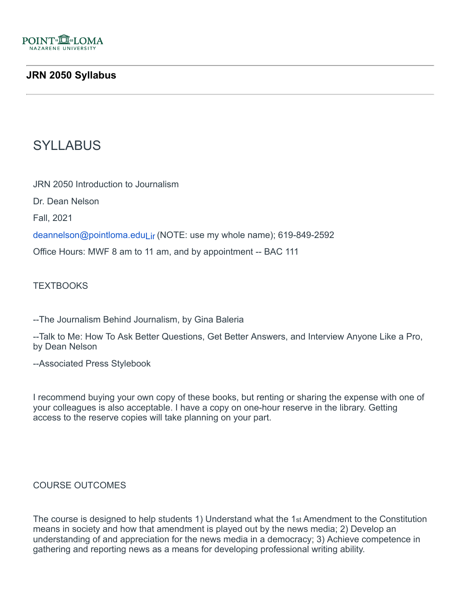

## **JRN 2050 Syllabus**

# SYLLABUS

JRN 2050 Introduction to Journalism

Dr. Dean Nelson

Fall, 2021

deannelson@pointloma.eduLir (NOTE: use my whole name); 619-849-2592

Office Hours: MWF 8 am to 11 am, and by appointment -- BAC 111

**TEXTBOOKS** 

--The Journalism Behind Journalism, by Gina Baleria

--Talk to Me: How To Ask Better Questions, Get Better Answers, and Interview Anyone Like a Pro, by Dean Nelson

--Associated Press Stylebook

I recommend buying your own copy of these books, but renting or sharing the expense with one of your colleagues is also acceptable. I have a copy on one-hour reserve in the library. Getting access to the reserve copies will take planning on your part.

#### COURSE OUTCOMES

The course is designed to help students 1) Understand what the 1st Amendment to the Constitution means in society and how that amendment is played out by the news media; 2) Develop an understanding of and appreciation for the news media in a democracy; 3) Achieve competence in gathering and reporting news as a means for developing professional writing ability.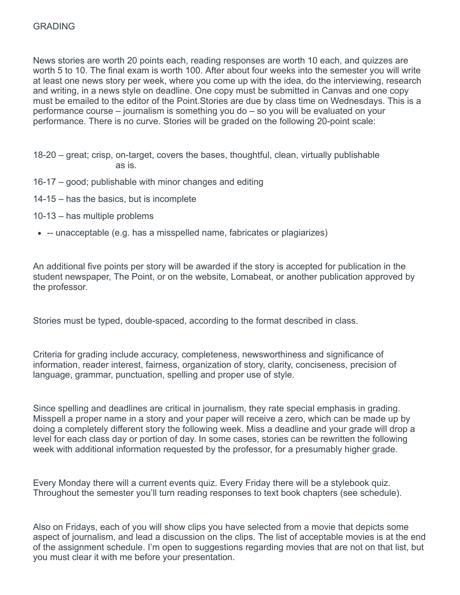News stories are worth 20 points each, reading responses are worth 10 each, and quizzes are worth 5 to 10. The final exam is worth 100. After about four weeks into the semester you will write at least one news story per week, where you come up with the idea, do the interviewing, research and writing, in a news style on deadline. One copy must be submitted in Canvas and one copy must be emailed to the editor of the Point.Stories are due by class time on Wednesdays. This is a performance course – journalism is something you do – so you will be evaluated on your performance. There is no curve. Stories will be graded on the following 20-point scale:

- 18-20 great; crisp, on-target, covers the bases, thoughtful, clean, virtually publishable as is.
- 16-17 good; publishable with minor changes and editing
- 14-15 has the basics, but is incomplete
- 10-13 has multiple problems
- -- unacceptable (e.g. has a misspelled name, fabricates or plagiarizes)

An additional five points per story will be awarded if the story is accepted for publication in the student newspaper, The Point, or on the website, Lomabeat, or another publication approved by the professor.

Stories must be typed, double-spaced, according to the format described in class.

Criteria for grading include accuracy, completeness, newsworthiness and significance of information, reader interest, fairness, organization of story, clarity, conciseness, precision of language, grammar, punctuation, spelling and proper use of style.

Since spelling and deadlines are critical in journalism, they rate special emphasis in grading. Misspell a proper name in a story and your paper will receive a zero, which can be made up by doing a completely different story the following week. Miss a deadline and your grade will drop a level for each class day or portion of day. In some cases, stories can be rewritten the following week with additional information requested by the professor, for a presumably higher grade.

Every Monday there will a current events quiz. Every Friday there will be a stylebook quiz. Throughout the semester you'll turn reading responses to text book chapters (see schedule).

Also on Fridays, each of you will show clips you have selected from a movie that depicts some aspect of journalism, and lead a discussion on the clips. The list of acceptable movies is at the end of the assignment schedule. I'm open to suggestions regarding movies that are not on that list, but you must clear it with me before your presentation.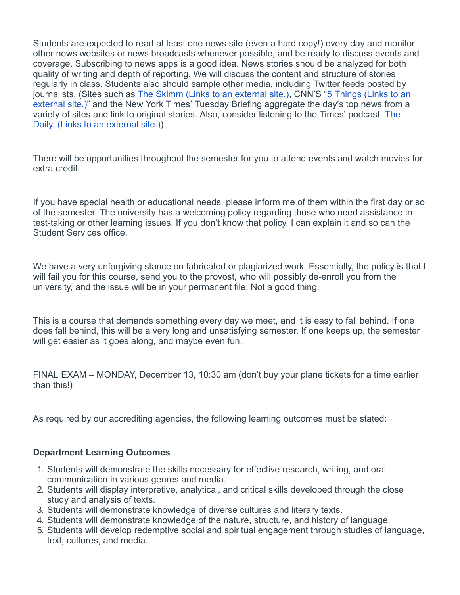Students are expected to read at least one news site (even a hard copy!) every day and monitor other news websites or news broadcasts whenever possible, and be ready to discuss events and coverage. Subscribing to news apps is a good idea. News stories should be analyzed for both quality of writing and depth of reporting. We will discuss the content and structure of stories regularly in class. Students also should sample other media, including Twitter feeds posted by journalists. (Sites such as The Skimm [\(Links to an external site.\),](https://www.theskimm.com/?utm_source=google&utm_medium=paidmedia&utm_campaign=DS_SEM_ADW_SNT_BRAND_Core_Exact&gclid=EAIaIQobChMI2_Tw5KWL5wIVA6SzCh3Aig_pEAAYASAAEgLWRfD_BwE) CNN'S "5 Things (Links to an [external site.\)" and the New York Times' Tuesday Briefing aggregate the day's top news from a](https://www.cnn.com/specials/newsletter--5-things) [variety of sites and link to original stories. Also, consider listening to the Times' podcast,](https://www.nytimes.com/column/the-daily) The Daily. (Links to an external site.))

There will be opportunities throughout the semester for you to attend events and watch movies for extra credit.

If you have special health or educational needs, please inform me of them within the first day or so of the semester. The university has a welcoming policy regarding those who need assistance in test-taking or other learning issues. If you don't know that policy, I can explain it and so can the Student Services office.

We have a very unforgiving stance on fabricated or plagiarized work. Essentially, the policy is that I will fail you for this course, send you to the provost, who will possibly de-enroll you from the university, and the issue will be in your permanent file. Not a good thing.

This is a course that demands something every day we meet, and it is easy to fall behind. If one does fall behind, this will be a very long and unsatisfying semester. If one keeps up, the semester will get easier as it goes along, and maybe even fun.

FINAL EXAM – MONDAY, December 13, 10:30 am (don't buy your plane tickets for a time earlier than this!)

As required by our accrediting agencies, the following learning outcomes must be stated:

#### **Department Learning Outcomes**

- 1. Students will demonstrate the skills necessary for effective research, writing, and oral communication in various genres and media.
- 2. Students will display interpretive, analytical, and critical skills developed through the close study and analysis of texts.
- 3. Students will demonstrate knowledge of diverse cultures and literary texts.
- 4. Students will demonstrate knowledge of the nature, structure, and history of language.
- 5. Students will develop redemptive social and spiritual engagement through studies of language, text, cultures, and media.